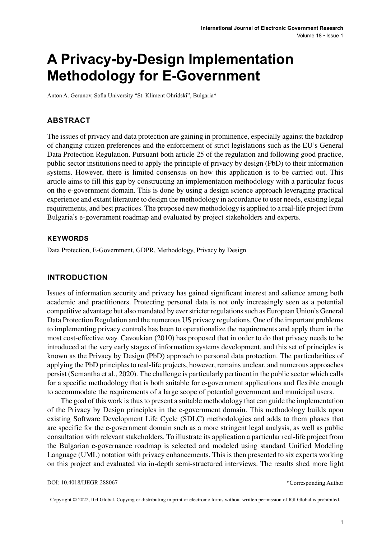# **A Privacy-by-Design Implementation Methodology for E-Government**

Anton A. Gerunov, Sofia University "St. Kliment Ohridski", Bulgaria\*

#### **ABSTRACT**

The issues of privacy and data protection are gaining in prominence, especially against the backdrop of changing citizen preferences and the enforcement of strict legislations such as the EU's General Data Protection Regulation. Pursuant both article 25 of the regulation and following good practice, public sector institutions need to apply the principle of privacy by design (PbD) to their information systems. However, there is limited consensus on how this application is to be carried out. This article aims to fill this gap by constructing an implementation methodology with a particular focus on the e-government domain. This is done by using a design science approach leveraging practical experience and extant literature to design the methodology in accordance to user needs, existing legal requirements, and best practices. The proposed new methodology is applied to a real-life project from Bulgaria's e-government roadmap and evaluated by project stakeholders and experts.

#### **Keywords**

Data Protection, E-Government, GDPR, Methodology, Privacy by Design

#### **INTRODUCTION**

Issues of information security and privacy has gained significant interest and salience among both academic and practitioners. Protecting personal data is not only increasingly seen as a potential competitive advantage but also mandated by everstricter regulationssuch as European Union's General Data Protection Regulation and the numerous US privacy regulations. One of the important problems to implementing privacy controls has been to operationalize the requirements and apply them in the most cost-effective way. Cavoukian (2010) has proposed that in order to do that privacy needs to be introduced at the very early stages of information systems development, and this set of principles is known as the Privacy by Design (PbD) approach to personal data protection. The particularities of applying the PbD principlesto real-life projects, however, remains unclear, and numerous approaches persist (Semantha et al., 2020). The challenge is particularly pertinent in the public sector which calls for a specific methodology that is both suitable for e-government applications and flexible enough to accommodate the requirements of a large scope of potential government and municipal users.

The goal of this work is thus to present a suitable methodology that can guide the implementation of the Privacy by Design principles in the e-government domain. This methodology builds upon existing Software Development Life Cycle (SDLC) methodologies and adds to them phases that are specific for the e-government domain such as a more stringent legal analysis, as well as public consultation with relevant stakeholders. To illustrate its application a particular real-life project from the Bulgarian e-governance roadmap is selected and modeled using standard Unified Modeling Language (UML) notation with privacy enhancements. This is then presented to six experts working on this project and evaluated via in-depth semi-structured interviews. The results shed more light

DOI: 10.4018/IJEGR.288067

\*Corresponding Author

Copyright © 2022, IGI Global. Copying or distributing in print or electronic forms without written permission of IGI Global is prohibited.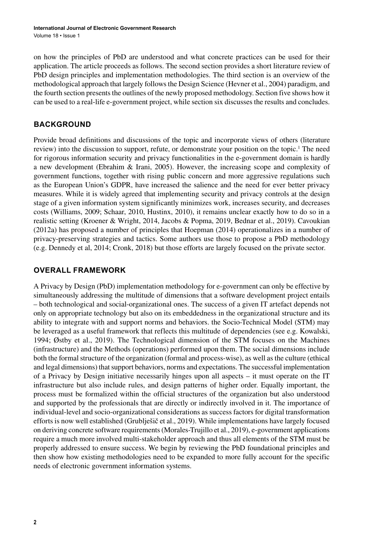on how the principles of PbD are understood and what concrete practices can be used for their application. The article proceeds as follows. The second section provides a short literature review of PbD design principles and implementation methodologies. The third section is an overview of the methodological approach that largely followsthe Design Science (Hevner et al., 2004) paradigm, and the fourth section presents the outlines of the newly proposed methodology. Section five shows how it can be used to a real-life e-government project, while section six discusses the results and concludes.

## **BACKGROUND**

Provide broad definitions and discussions of the topic and incorporate views of others (literature review) into the discussion to support, refute, or demonstrate your position on the topic.<sup>1</sup> The need for rigorous information security and privacy functionalities in the e-government domain is hardly a new development (Ebrahim & Irani, 2005). However, the increasing scope and complexity of government functions, together with rising public concern and more aggressive regulations such as the European Union's GDPR, have increased the salience and the need for ever better privacy measures. While it is widely agreed that implementing security and privacy controls at the design stage of a given information system significantly minimizes work, increases security, and decreases costs (Williams, 2009; Schaar, 2010, Hustinx, 2010), it remains unclear exactly how to do so in a realistic setting (Kroener & Wright, 2014, Jacobs & Popma, 2019, Bednar et al., 2019). Cavoukian (2012а) has proposed a number of principles that Hoepman (2014) operationalizes in a number of privacy-preserving strategies and tactics. Some authors use those to propose a PbD methodology (e.g. Dennedy et al, 2014; Cronk, 2018) but those efforts are largely focused on the private sector.

## **OVERALL FRAMEWORK**

A Privacy by Design (PbD) implementation methodology for e-government can only be effective by simultaneously addressing the multitude of dimensions that a software development project entails – both technological and social-organizational ones. The success of a given IT artefact depends not only on appropriate technology but also on its embeddedness in the organizational structure and its ability to integrate with and support norms and behaviors. the Socio-Technical Model (STM) may be leveraged as a useful framework that reflects this multitude of dependencies (see e.g. Kowalski, 1994; Østby et al., 2019). The Technological dimension of the STM focuses on the Machines (infrastructure) and the Methods (operations) performed upon them. The social dimensions include both the formal structure of the organization (formal and process-wise), as well as the culture (ethical and legal dimensions) that support behaviors, norms and expectations. The successful implementation of a Privacy by Design initiative necessarily hinges upon all aspects – it must operate on the IT infrastructure but also include rules, and design patterns of higher order. Equally important, the process must be formalized within the official structures of the organization but also understood and supported by the professionals that are directly or indirectly involved in it. The importance of individual-level and socio-organizational considerations as success factors for digital transformation efforts is now well established (Grublješič et al., 2019). While implementations have largely focused on deriving concrete software requirements(Morales-Trujillo et al., 2019), e-government applications require a much more involved multi-stakeholder approach and thus all elements of the STM must be properly addressed to ensure success. We begin by reviewing the PbD foundational principles and then show how existing methodologies need to be expanded to more fully account for the specific needs of electronic government information systems.